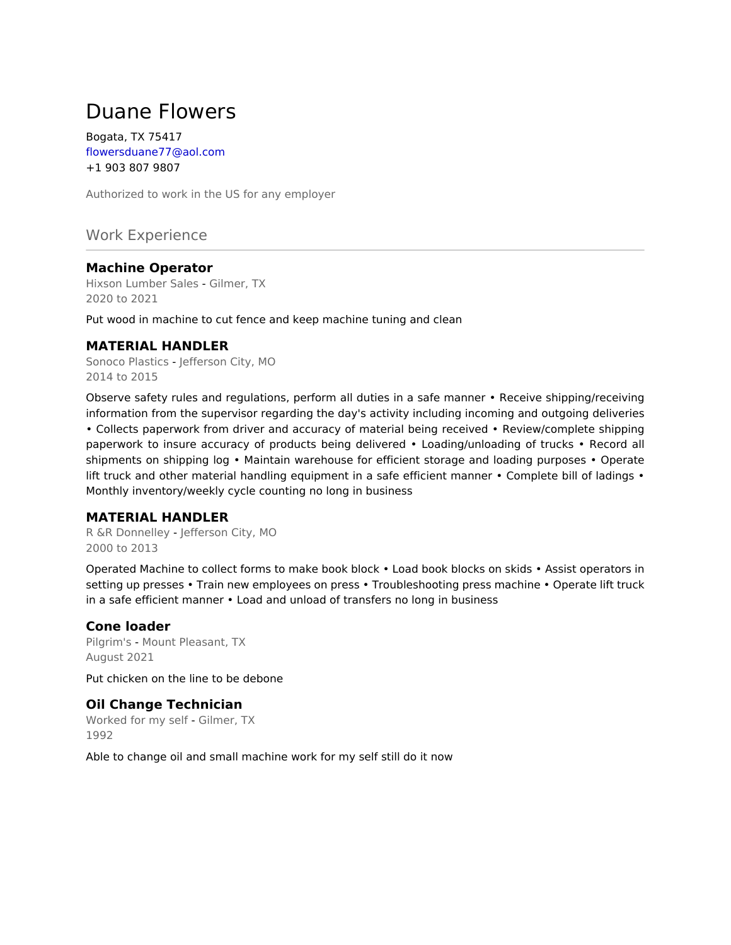# Duane Flowers

Bogata, TX 75417 flowersduane77@aol.com +1 903 807 9807

Authorized to work in the US for any employer

Work Experience

## **Machine Operator**

Hixson Lumber Sales - Gilmer, TX 2020 to 2021

Put wood in machine to cut fence and keep machine tuning and clean

#### **MATERIAL HANDLER**

Sonoco Plastics - Jefferson City, MO 2014 to 2015

Observe safety rules and regulations, perform all duties in a safe manner • Receive shipping/receiving information from the supervisor regarding the day's activity including incoming and outgoing deliveries • Collects paperwork from driver and accuracy of material being received • Review/complete shipping paperwork to insure accuracy of products being delivered • Loading/unloading of trucks • Record all shipments on shipping log • Maintain warehouse for efficient storage and loading purposes • Operate lift truck and other material handling equipment in a safe efficient manner • Complete bill of ladings • Monthly inventory/weekly cycle counting no long in business

#### **MATERIAL HANDLER**

R &R Donnelley - Jefferson City, MO 2000 to 2013

Operated Machine to collect forms to make book block • Load book blocks on skids • Assist operators in setting up presses • Train new employees on press • Troubleshooting press machine • Operate lift truck in a safe efficient manner • Load and unload of transfers no long in business

## **Cone loader**

Pilgrim's - Mount Pleasant, TX August 2021

Put chicken on the line to be debone

## **Oil Change Technician**

Worked for my self - Gilmer, TX 1992

Able to change oil and small machine work for my self still do it now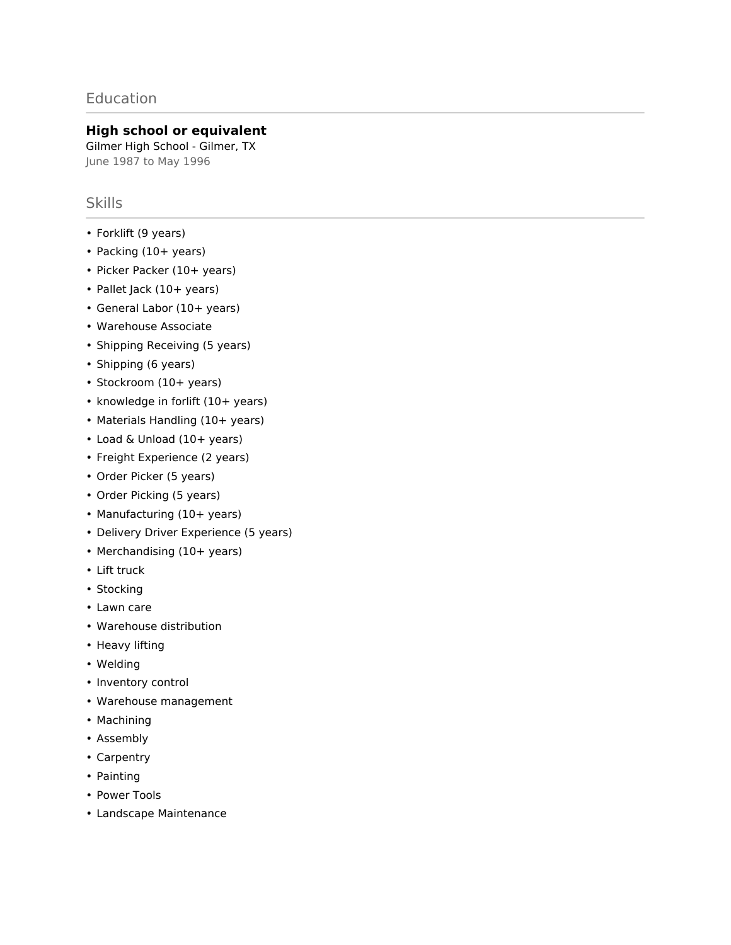# Education

#### **High school or equivalent**

Gilmer High School - Gilmer, TX June 1987 to May 1996

## Skills

- Forklift (9 years)
- Packing (10+ years)
- Picker Packer (10+ years)
- Pallet Jack (10+ years)
- General Labor (10+ years)
- Warehouse Associate
- Shipping Receiving (5 years)
- Shipping (6 years)
- Stockroom (10+ years)
- knowledge in forlift (10+ years)
- Materials Handling (10+ years)
- Load & Unload (10+ years)
- Freight Experience (2 years)
- Order Picker (5 years)
- Order Picking (5 years)
- Manufacturing (10+ years)
- Delivery Driver Experience (5 years)
- Merchandising (10+ years)
- Lift truck
- Stocking
- Lawn care
- Warehouse distribution
- Heavy lifting
- Welding
- Inventory control
- Warehouse management
- Machining
- Assembly
- Carpentry
- Painting
- Power Tools
- Landscape Maintenance